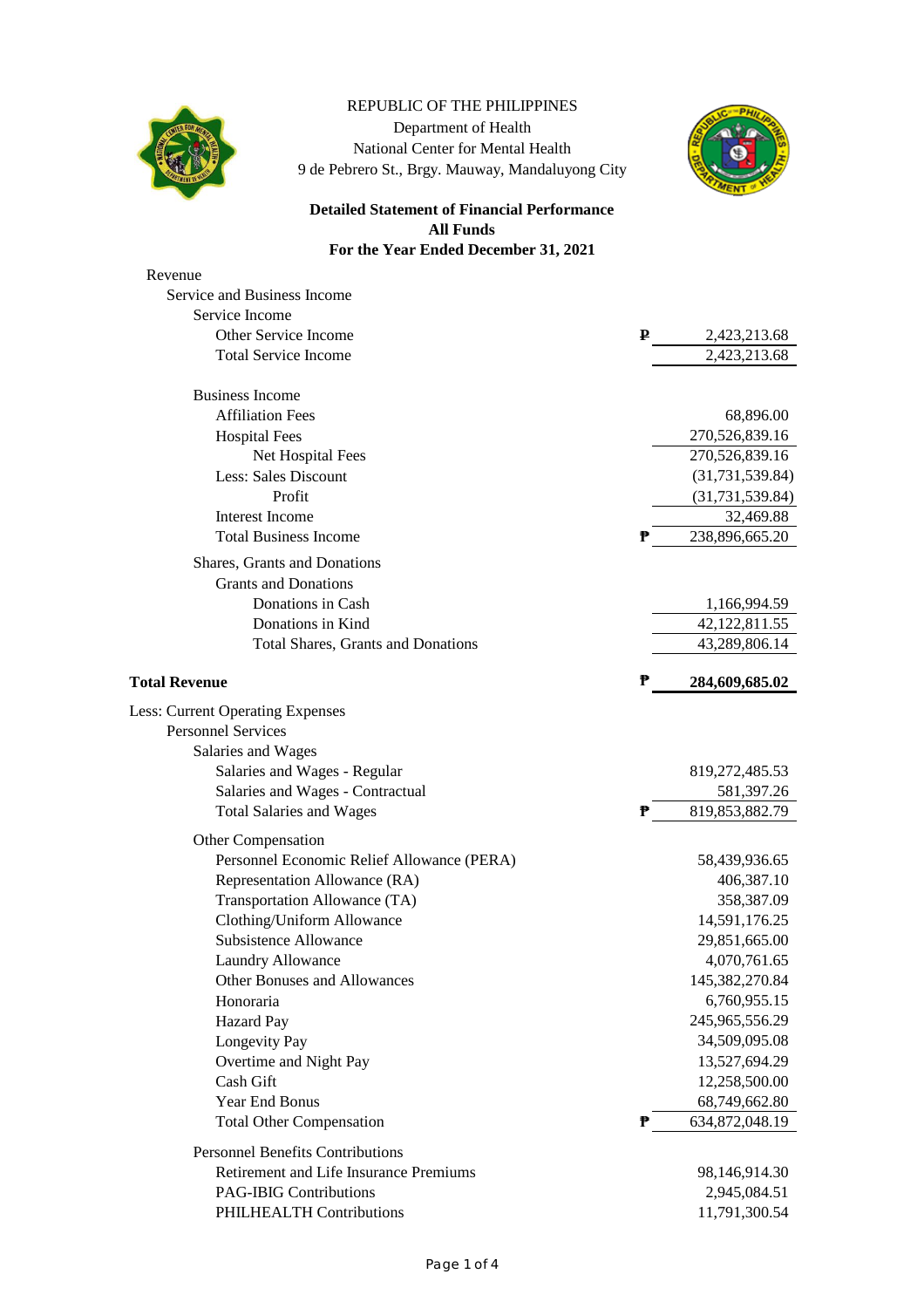

## REPUBLIC OF THE PHILIPPINES Department of Health National Center for Mental Health 9 de Pebrero St., Brgy. Mauway, Mandaluyong City



## **Detailed Statement of Financial Performance All Funds For the Year Ended December 31, 2021**

| Revenue                                    |   |                   |
|--------------------------------------------|---|-------------------|
| Service and Business Income                |   |                   |
| Service Income                             |   |                   |
| Other Service Income                       | ₽ | 2,423,213.68      |
| <b>Total Service Income</b>                |   | 2,423,213.68      |
|                                            |   |                   |
| <b>Business Income</b>                     |   |                   |
| <b>Affiliation Fees</b>                    |   | 68,896.00         |
| <b>Hospital Fees</b>                       |   | 270,526,839.16    |
| Net Hospital Fees                          |   | 270,526,839.16    |
| Less: Sales Discount                       |   | (31, 731, 539.84) |
| Profit                                     |   | (31, 731, 539.84) |
| Interest Income                            |   | 32,469.88         |
| <b>Total Business Income</b>               | ₱ | 238,896,665.20    |
| Shares, Grants and Donations               |   |                   |
| <b>Grants and Donations</b>                |   |                   |
| Donations in Cash                          |   | 1,166,994.59      |
| Donations in Kind                          |   | 42, 122, 811.55   |
| <b>Total Shares, Grants and Donations</b>  |   | 43,289,806.14     |
| <b>Total Revenue</b>                       | ₱ | 284,609,685.02    |
| <b>Less: Current Operating Expenses</b>    |   |                   |
| <b>Personnel Services</b>                  |   |                   |
| Salaries and Wages                         |   |                   |
| Salaries and Wages - Regular               |   | 819,272,485.53    |
| Salaries and Wages - Contractual           |   | 581,397.26        |
| <b>Total Salaries and Wages</b>            | ₱ | 819, 853, 882. 79 |
| Other Compensation                         |   |                   |
| Personnel Economic Relief Allowance (PERA) |   | 58,439,936.65     |
| Representation Allowance (RA)              |   | 406,387.10        |
| Transportation Allowance (TA)              |   | 358,387.09        |
| Clothing/Uniform Allowance                 |   | 14,591,176.25     |
| <b>Subsistence Allowance</b>               |   | 29,851,665.00     |
| Laundry Allowance                          |   | 4,070,761.65      |
| Other Bonuses and Allowances               |   | 145,382,270.84    |
| Honoraria                                  |   | 6,760,955.15      |
|                                            |   | 245,965,556.29    |
| Hazard Pay                                 |   |                   |
| Longevity Pay                              |   | 34,509,095.08     |
| Overtime and Night Pay                     |   | 13,527,694.29     |
| Cash Gift                                  |   | 12,258,500.00     |
| Year End Bonus                             |   | 68,749,662.80     |
| <b>Total Other Compensation</b>            | ₱ | 634,872,048.19    |
| <b>Personnel Benefits Contributions</b>    |   |                   |
| Retirement and Life Insurance Premiums     |   | 98,146,914.30     |
| <b>PAG-IBIG Contributions</b>              |   | 2,945,084.51      |
| PHILHEALTH Contributions                   |   | 11,791,300.54     |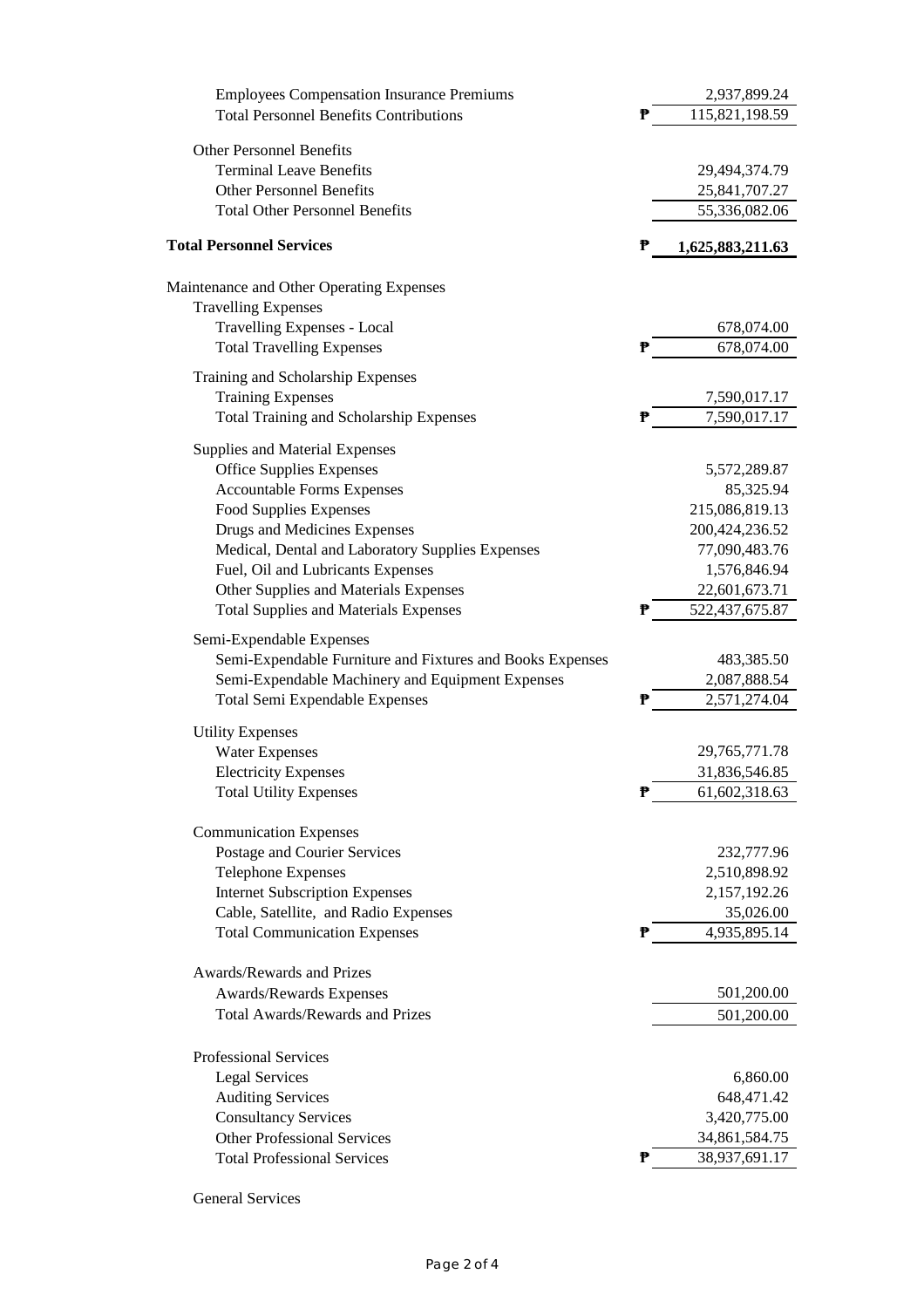| <b>Employees Compensation Insurance Premiums</b>          | 2,937,899.24          |
|-----------------------------------------------------------|-----------------------|
| <b>Total Personnel Benefits Contributions</b>             | ₱<br>115,821,198.59   |
| <b>Other Personnel Benefits</b>                           |                       |
| <b>Terminal Leave Benefits</b>                            | 29,494,374.79         |
| <b>Other Personnel Benefits</b>                           | 25,841,707.27         |
| <b>Total Other Personnel Benefits</b>                     | 55,336,082.06         |
| <b>Total Personnel Services</b>                           | ₱<br>1,625,883,211.63 |
| Maintenance and Other Operating Expenses                  |                       |
| <b>Travelling Expenses</b>                                |                       |
| Travelling Expenses - Local                               | 678,074.00            |
| <b>Total Travelling Expenses</b>                          | ₱<br>678,074.00       |
| Training and Scholarship Expenses                         |                       |
| <b>Training Expenses</b>                                  | 7,590,017.17          |
| <b>Total Training and Scholarship Expenses</b>            | 7,590,017.17<br>₱     |
| Supplies and Material Expenses                            |                       |
| <b>Office Supplies Expenses</b>                           | 5,572,289.87          |
| <b>Accountable Forms Expenses</b>                         | 85,325.94             |
| <b>Food Supplies Expenses</b>                             | 215,086,819.13        |
| Drugs and Medicines Expenses                              | 200, 424, 236.52      |
| Medical, Dental and Laboratory Supplies Expenses          | 77,090,483.76         |
| Fuel, Oil and Lubricants Expenses                         | 1,576,846.94          |
| Other Supplies and Materials Expenses                     | 22,601,673.71         |
| <b>Total Supplies and Materials Expenses</b>              | ₱<br>522,437,675.87   |
| Semi-Expendable Expenses                                  |                       |
| Semi-Expendable Furniture and Fixtures and Books Expenses | 483,385.50            |
| Semi-Expendable Machinery and Equipment Expenses          | 2,087,888.54          |
| Total Semi Expendable Expenses                            | ₱<br>2,571,274.04     |
| <b>Utility Expenses</b>                                   |                       |
| <b>Water Expenses</b>                                     | 29,765,771.78         |
| <b>Electricity Expenses</b>                               | 31,836,546.85         |
| <b>Total Utility Expenses</b>                             | ₱<br>61,602,318.63    |
| <b>Communication Expenses</b>                             |                       |
| Postage and Courier Services                              | 232,777.96            |
| <b>Telephone Expenses</b>                                 | 2,510,898.92          |
| <b>Internet Subscription Expenses</b>                     | 2,157,192.26          |
| Cable, Satellite, and Radio Expenses                      | 35,026.00             |
| <b>Total Communication Expenses</b>                       | 4,935,895.14<br>₱     |
| Awards/Rewards and Prizes                                 |                       |
| Awards/Rewards Expenses                                   | 501,200.00            |
| <b>Total Awards/Rewards and Prizes</b>                    | 501,200.00            |
|                                                           |                       |
| <b>Professional Services</b>                              |                       |
| <b>Legal Services</b>                                     | 6,860.00              |
| <b>Auditing Services</b>                                  | 648,471.42            |
| <b>Consultancy Services</b>                               | 3,420,775.00          |
| <b>Other Professional Services</b>                        | 34,861,584.75         |
| <b>Total Professional Services</b>                        | ₱<br>38,937,691.17    |
|                                                           |                       |

General Services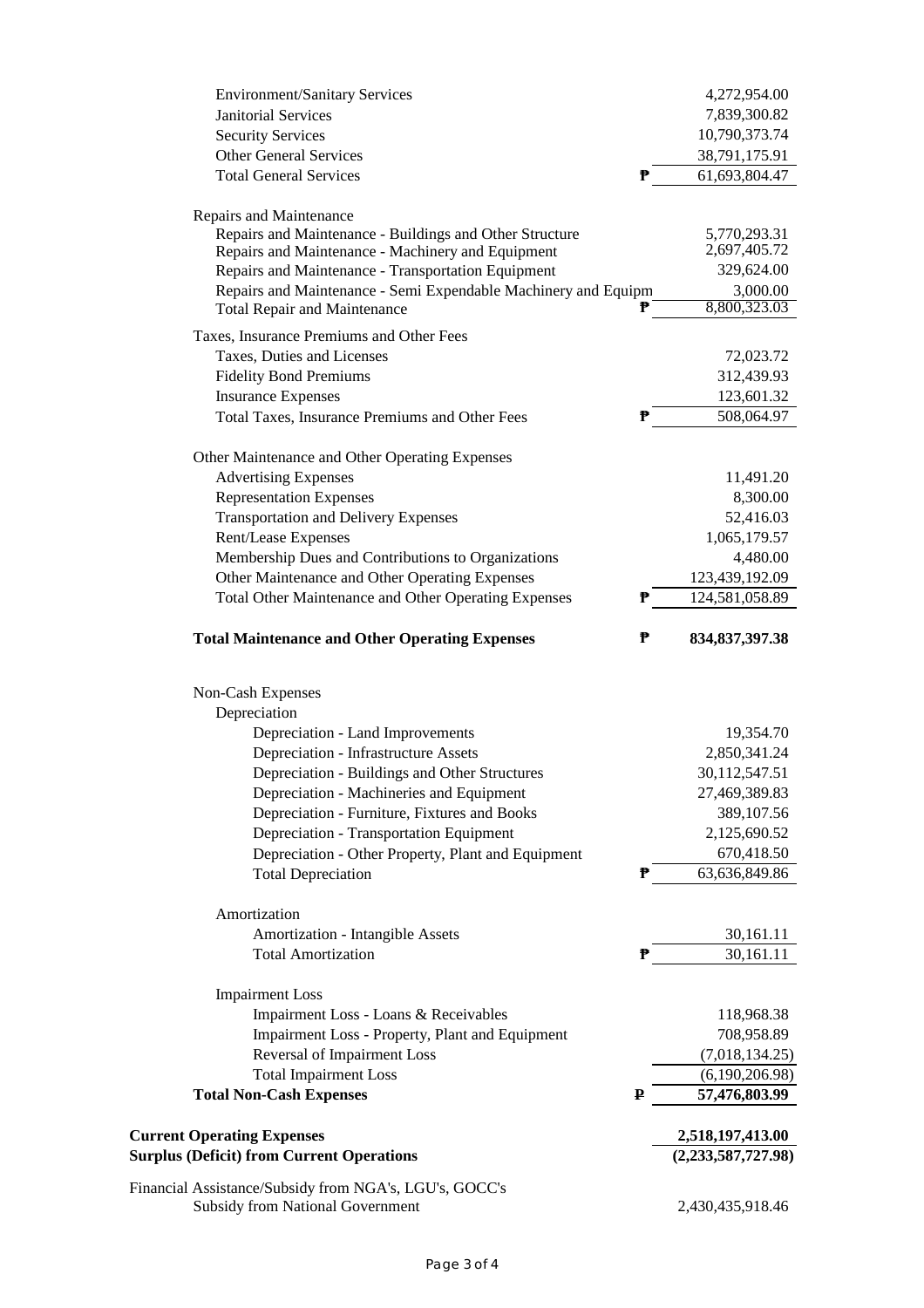| <b>Environment/Sanitary Services</b>                                                                    | 4,272,954.00                |
|---------------------------------------------------------------------------------------------------------|-----------------------------|
| <b>Janitorial Services</b>                                                                              | 7,839,300.82                |
| <b>Security Services</b>                                                                                | 10,790,373.74               |
| <b>Other General Services</b>                                                                           | 38,791,175.91               |
| <b>Total General Services</b><br>₱                                                                      | 61,693,804.47               |
|                                                                                                         |                             |
| Repairs and Maintenance                                                                                 |                             |
| Repairs and Maintenance - Buildings and Other Structure                                                 | 5,770,293.31                |
| Repairs and Maintenance - Machinery and Equipment<br>Repairs and Maintenance - Transportation Equipment | 2,697,405.72<br>329,624.00  |
| Repairs and Maintenance - Semi Expendable Machinery and Equipm                                          | 3,000.00                    |
| ₱<br><b>Total Repair and Maintenance</b>                                                                | 8,800,323.03                |
| Taxes, Insurance Premiums and Other Fees                                                                |                             |
| Taxes, Duties and Licenses                                                                              | 72,023.72                   |
| <b>Fidelity Bond Premiums</b>                                                                           | 312,439.93                  |
| <b>Insurance Expenses</b>                                                                               | 123,601.32                  |
| Total Taxes, Insurance Premiums and Other Fees<br>₱                                                     | 508,064.97                  |
| Other Maintenance and Other Operating Expenses                                                          |                             |
| <b>Advertising Expenses</b>                                                                             | 11,491.20                   |
| <b>Representation Expenses</b>                                                                          | 8,300.00                    |
| <b>Transportation and Delivery Expenses</b>                                                             | 52,416.03                   |
| Rent/Lease Expenses                                                                                     | 1,065,179.57                |
| Membership Dues and Contributions to Organizations                                                      | 4,480.00                    |
| Other Maintenance and Other Operating Expenses                                                          | 123,439,192.09              |
| ₱<br>Total Other Maintenance and Other Operating Expenses                                               | 124,581,058.89              |
|                                                                                                         |                             |
| <b>Total Maintenance and Other Operating Expenses</b><br>₱                                              | 834, 837, 397. 38           |
| Non-Cash Expenses                                                                                       |                             |
| Depreciation                                                                                            |                             |
|                                                                                                         | 19,354.70                   |
| Depreciation - Land Improvements<br><b>Depreciation - Infrastructure Assets</b>                         | 2,850,341.24                |
| Depreciation - Buildings and Other Structures                                                           | 30,112,547.51               |
| Depreciation - Machineries and Equipment                                                                | 27,469,389.83               |
| Depreciation - Furniture, Fixtures and Books                                                            | 389,107.56                  |
| Depreciation - Transportation Equipment                                                                 | 2,125,690.52                |
| Depreciation - Other Property, Plant and Equipment                                                      |                             |
| <b>Total Depreciation</b><br>₱                                                                          | 670,418.50<br>63,636,849.86 |
|                                                                                                         |                             |
| Amortization                                                                                            |                             |
| Amortization - Intangible Assets                                                                        | 30,161.11                   |
| <b>Total Amortization</b><br>₱                                                                          | 30,161.11                   |
| <b>Impairment Loss</b>                                                                                  |                             |
| Impairment Loss - Loans & Receivables                                                                   | 118,968.38                  |
| Impairment Loss - Property, Plant and Equipment                                                         | 708,958.89                  |
| Reversal of Impairment Loss                                                                             | (7,018,134.25)              |
| <b>Total Impairment Loss</b>                                                                            | (6,190,206.98)              |
| <b>Total Non-Cash Expenses</b><br>₽                                                                     | 57,476,803.99               |
|                                                                                                         |                             |
| <b>Current Operating Expenses</b>                                                                       | 2,518,197,413.00            |
| <b>Surplus (Deficit) from Current Operations</b>                                                        | (2,233,587,727.98)          |
| Financial Assistance/Subsidy from NGA's, LGU's, GOCC's                                                  |                             |
| <b>Subsidy from National Government</b>                                                                 | 2,430,435,918.46            |